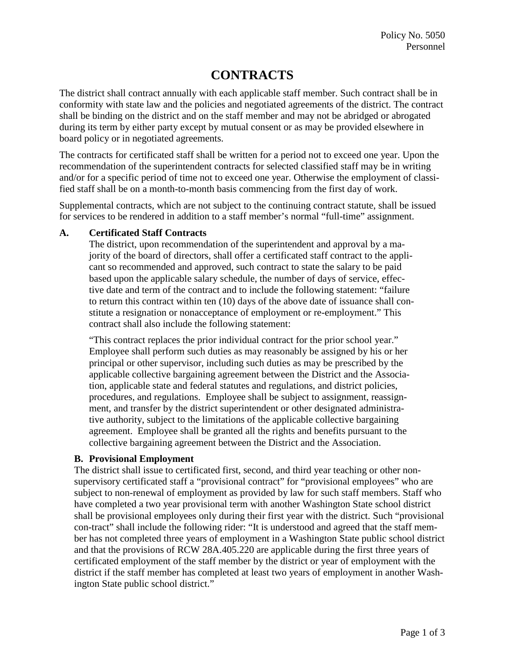# **CONTRACTS**

The district shall contract annually with each applicable staff member. Such contract shall be in conformity with state law and the policies and negotiated agreements of the district. The contract shall be binding on the district and on the staff member and may not be abridged or abrogated during its term by either party except by mutual consent or as may be provided elsewhere in board policy or in negotiated agreements.

The contracts for certificated staff shall be written for a period not to exceed one year. Upon the recommendation of the superintendent contracts for selected classified staff may be in writing and/or for a specific period of time not to exceed one year. Otherwise the employment of classified staff shall be on a month-to-month basis commencing from the first day of work.

Supplemental contracts, which are not subject to the continuing contract statute, shall be issued for services to be rendered in addition to a staff member's normal "full-time" assignment.

## **A. Certificated Staff Contracts**

The district, upon recommendation of the superintendent and approval by a majority of the board of directors, shall offer a certificated staff contract to the applicant so recommended and approved, such contract to state the salary to be paid based upon the applicable salary schedule, the number of days of service, effective date and term of the contract and to include the following statement: "failure to return this contract within ten (10) days of the above date of issuance shall constitute a resignation or nonacceptance of employment or re-employment." This contract shall also include the following statement:

"This contract replaces the prior individual contract for the prior school year." Employee shall perform such duties as may reasonably be assigned by his or her principal or other supervisor, including such duties as may be prescribed by the applicable collective bargaining agreement between the District and the Association, applicable state and federal statutes and regulations, and district policies, procedures, and regulations. Employee shall be subject to assignment, reassignment, and transfer by the district superintendent or other designated administrative authority, subject to the limitations of the applicable collective bargaining agreement. Employee shall be granted all the rights and benefits pursuant to the collective bargaining agreement between the District and the Association.

#### **B. Provisional Employment**

The district shall issue to certificated first, second, and third year teaching or other nonsupervisory certificated staff a "provisional contract" for "provisional employees" who are subject to non-renewal of employment as provided by law for such staff members. Staff who have completed a two year provisional term with another Washington State school district shall be provisional employees only during their first year with the district. Such "provisional con-tract" shall include the following rider: "It is understood and agreed that the staff member has not completed three years of employment in a Washington State public school district and that the provisions of RCW 28A.405.220 are applicable during the first three years of certificated employment of the staff member by the district or year of employment with the district if the staff member has completed at least two years of employment in another Washington State public school district."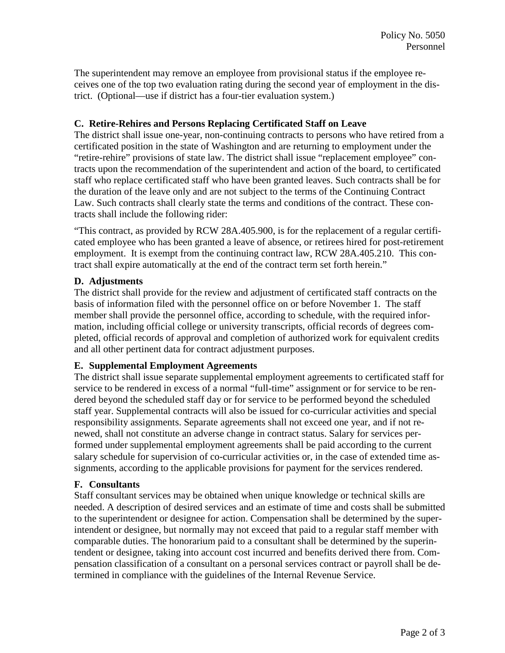The superintendent may remove an employee from provisional status if the employee receives one of the top two evaluation rating during the second year of employment in the district. (Optional—use if district has a four-tier evaluation system.)

## **C. Retire-Rehires and Persons Replacing Certificated Staff on Leave**

The district shall issue one-year, non-continuing contracts to persons who have retired from a certificated position in the state of Washington and are returning to employment under the "retire-rehire" provisions of state law. The district shall issue "replacement employee" contracts upon the recommendation of the superintendent and action of the board, to certificated staff who replace certificated staff who have been granted leaves. Such contracts shall be for the duration of the leave only and are not subject to the terms of the Continuing Contract Law. Such contracts shall clearly state the terms and conditions of the contract. These contracts shall include the following rider:

"This contract, as provided by RCW 28A.405.900, is for the replacement of a regular certificated employee who has been granted a leave of absence, or retirees hired for post-retirement employment. It is exempt from the continuing contract law, RCW 28A.405.210. This contract shall expire automatically at the end of the contract term set forth herein."

## **D. Adjustments**

The district shall provide for the review and adjustment of certificated staff contracts on the basis of information filed with the personnel office on or before November 1. The staff member shall provide the personnel office, according to schedule, with the required information, including official college or university transcripts, official records of degrees completed, official records of approval and completion of authorized work for equivalent credits and all other pertinent data for contract adjustment purposes.

#### **E. Supplemental Employment Agreements**

The district shall issue separate supplemental employment agreements to certificated staff for service to be rendered in excess of a normal "full-time" assignment or for service to be rendered beyond the scheduled staff day or for service to be performed beyond the scheduled staff year. Supplemental contracts will also be issued for co-curricular activities and special responsibility assignments. Separate agreements shall not exceed one year, and if not renewed, shall not constitute an adverse change in contract status. Salary for services performed under supplemental employment agreements shall be paid according to the current salary schedule for supervision of co-curricular activities or, in the case of extended time assignments, according to the applicable provisions for payment for the services rendered.

#### **F. Consultants**

Staff consultant services may be obtained when unique knowledge or technical skills are needed. A description of desired services and an estimate of time and costs shall be submitted to the superintendent or designee for action. Compensation shall be determined by the superintendent or designee, but normally may not exceed that paid to a regular staff member with comparable duties. The honorarium paid to a consultant shall be determined by the superintendent or designee, taking into account cost incurred and benefits derived there from. Compensation classification of a consultant on a personal services contract or payroll shall be determined in compliance with the guidelines of the Internal Revenue Service.